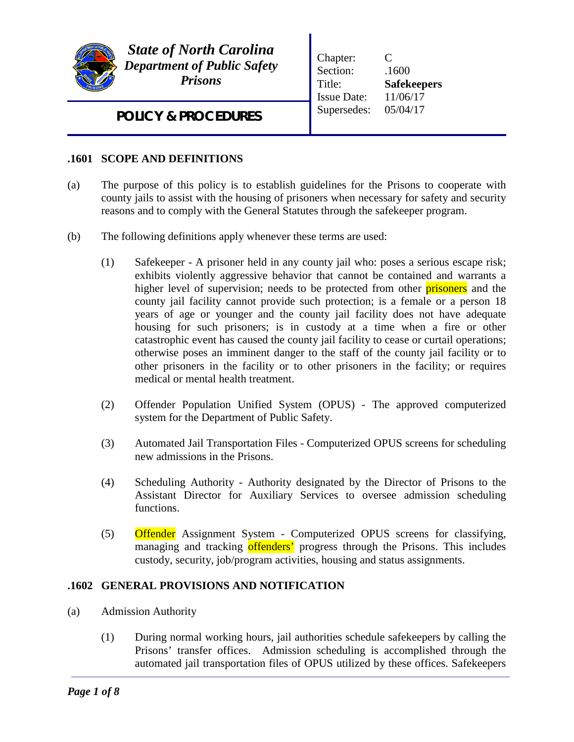

*State of North Carolina Department of Public Safety Prisons*

Chapter: C Section:  $.1600$ Title: **Safekeepers** Issue Date: 11/06/17 Supersedes: 05/04/17

*POLICY & PROCEDURES*

# **.1601 SCOPE AND DEFINITIONS**

- (a) The purpose of this policy is to establish guidelines for the Prisons to cooperate with county jails to assist with the housing of prisoners when necessary for safety and security reasons and to comply with the General Statutes through the safekeeper program.
- (b) The following definitions apply whenever these terms are used:
	- (1) Safekeeper A prisoner held in any county jail who: poses a serious escape risk; exhibits violently aggressive behavior that cannot be contained and warrants a higher level of supervision; needs to be protected from other **prisoners** and the county jail facility cannot provide such protection; is a female or a person 18 years of age or younger and the county jail facility does not have adequate housing for such prisoners; is in custody at a time when a fire or other catastrophic event has caused the county jail facility to cease or curtail operations; otherwise poses an imminent danger to the staff of the county jail facility or to other prisoners in the facility or to other prisoners in the facility; or requires medical or mental health treatment.
	- (2) Offender Population Unified System (OPUS) The approved computerized system for the Department of Public Safety.
	- (3) Automated Jail Transportation Files Computerized OPUS screens for scheduling new admissions in the Prisons.
	- (4) Scheduling Authority Authority designated by the Director of Prisons to the Assistant Director for Auxiliary Services to oversee admission scheduling functions.
	- (5) Offender Assignment System Computerized OPUS screens for classifying, managing and tracking offenders' progress through the Prisons. This includes custody, security, job/program activities, housing and status assignments.

## **.1602 GENERAL PROVISIONS AND NOTIFICATION**

- (a) Admission Authority
	- (1) During normal working hours, jail authorities schedule safekeepers by calling the Prisons' transfer offices. Admission scheduling is accomplished through the automated jail transportation files of OPUS utilized by these offices. Safekeepers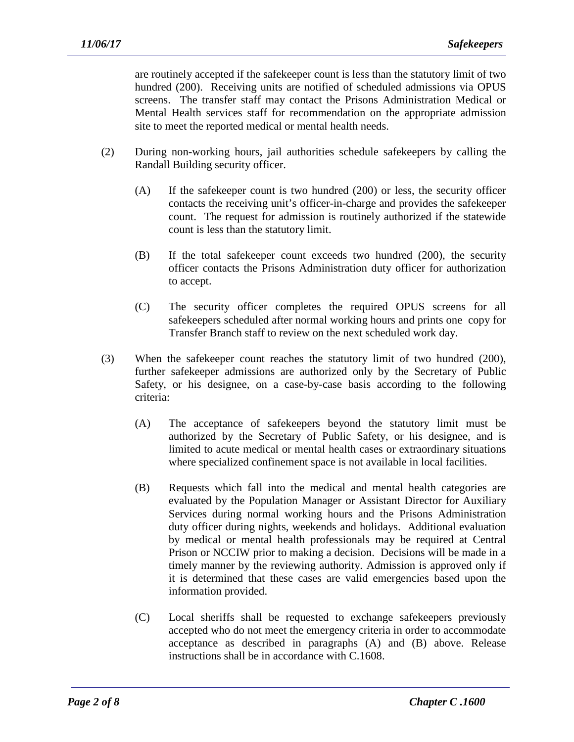are routinely accepted if the safekeeper count is less than the statutory limit of two hundred (200). Receiving units are notified of scheduled admissions via OPUS screens. The transfer staff may contact the Prisons Administration Medical or Mental Health services staff for recommendation on the appropriate admission site to meet the reported medical or mental health needs.

- (2) During non-working hours, jail authorities schedule safekeepers by calling the Randall Building security officer.
	- (A) If the safekeeper count is two hundred (200) or less, the security officer contacts the receiving unit's officer-in-charge and provides the safekeeper count. The request for admission is routinely authorized if the statewide count is less than the statutory limit.
	- (B) If the total safekeeper count exceeds two hundred (200), the security officer contacts the Prisons Administration duty officer for authorization to accept.
	- (C) The security officer completes the required OPUS screens for all safekeepers scheduled after normal working hours and prints one copy for Transfer Branch staff to review on the next scheduled work day.
- (3) When the safekeeper count reaches the statutory limit of two hundred (200), further safekeeper admissions are authorized only by the Secretary of Public Safety, or his designee, on a case-by-case basis according to the following criteria:
	- (A) The acceptance of safekeepers beyond the statutory limit must be authorized by the Secretary of Public Safety, or his designee, and is limited to acute medical or mental health cases or extraordinary situations where specialized confinement space is not available in local facilities.
	- (B) Requests which fall into the medical and mental health categories are evaluated by the Population Manager or Assistant Director for Auxiliary Services during normal working hours and the Prisons Administration duty officer during nights, weekends and holidays. Additional evaluation by medical or mental health professionals may be required at Central Prison or NCCIW prior to making a decision. Decisions will be made in a timely manner by the reviewing authority. Admission is approved only if it is determined that these cases are valid emergencies based upon the information provided.
	- (C) Local sheriffs shall be requested to exchange safekeepers previously accepted who do not meet the emergency criteria in order to accommodate acceptance as described in paragraphs (A) and (B) above. Release instructions shall be in accordance with C.1608.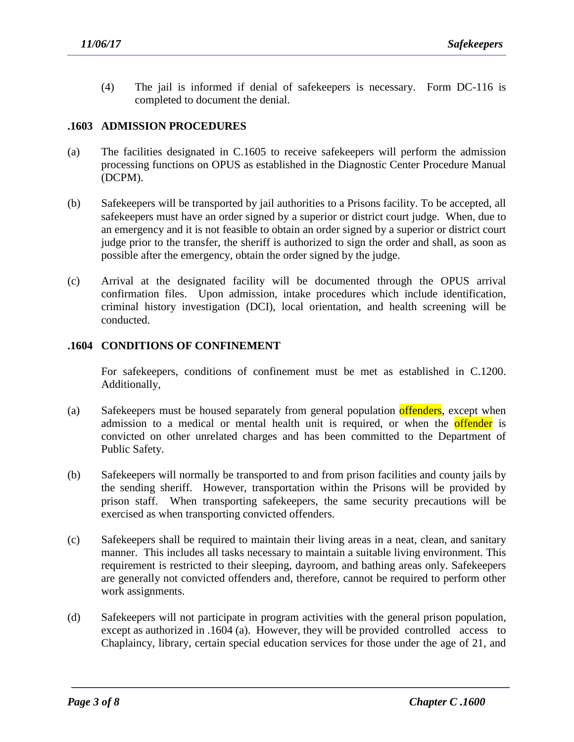(4) The jail is informed if denial of safekeepers is necessary. Form DC-116 is completed to document the denial.

## **.1603 ADMISSION PROCEDURES**

- (a) The facilities designated in C.1605 to receive safekeepers will perform the admission processing functions on OPUS as established in the Diagnostic Center Procedure Manual (DCPM).
- (b) Safekeepers will be transported by jail authorities to a Prisons facility. To be accepted, all safekeepers must have an order signed by a superior or district court judge. When, due to an emergency and it is not feasible to obtain an order signed by a superior or district court judge prior to the transfer, the sheriff is authorized to sign the order and shall, as soon as possible after the emergency, obtain the order signed by the judge.
- (c) Arrival at the designated facility will be documented through the OPUS arrival confirmation files. Upon admission, intake procedures which include identification, criminal history investigation (DCI), local orientation, and health screening will be conducted.

### **.1604 CONDITIONS OF CONFINEMENT**

For safekeepers, conditions of confinement must be met as established in C.1200. Additionally,

- (a) Safekeepers must be housed separately from general population offenders, except when admission to a medical or mental health unit is required, or when the **offender** is convicted on other unrelated charges and has been committed to the Department of Public Safety.
- (b) Safekeepers will normally be transported to and from prison facilities and county jails by the sending sheriff. However, transportation within the Prisons will be provided by prison staff. When transporting safekeepers, the same security precautions will be exercised as when transporting convicted offenders.
- (c) Safekeepers shall be required to maintain their living areas in a neat, clean, and sanitary manner. This includes all tasks necessary to maintain a suitable living environment. This requirement is restricted to their sleeping, dayroom, and bathing areas only. Safekeepers are generally not convicted offenders and, therefore, cannot be required to perform other work assignments.
- (d) Safekeepers will not participate in program activities with the general prison population, except as authorized in .1604 (a). However, they will be provided controlled access to Chaplaincy, library, certain special education services for those under the age of 21, and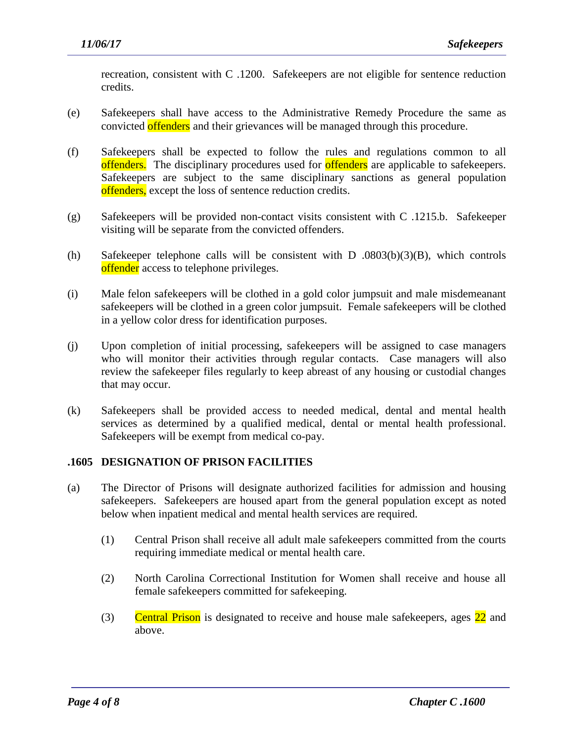recreation, consistent with C .1200. Safekeepers are not eligible for sentence reduction credits.

- (e) Safekeepers shall have access to the Administrative Remedy Procedure the same as convicted offenders and their grievances will be managed through this procedure.
- (f) Safekeepers shall be expected to follow the rules and regulations common to all offenders. The disciplinary procedures used for offenders are applicable to safekeepers. Safekeepers are subject to the same disciplinary sanctions as general population offenders, except the loss of sentence reduction credits.
- (g) Safekeepers will be provided non-contact visits consistent with C .1215.b. Safekeeper visiting will be separate from the convicted offenders.
- (h) Safekeeper telephone calls will be consistent with D .0803(b)(3)(B), which controls offender access to telephone privileges.
- (i) Male felon safekeepers will be clothed in a gold color jumpsuit and male misdemeanant safekeepers will be clothed in a green color jumpsuit. Female safekeepers will be clothed in a yellow color dress for identification purposes.
- (j) Upon completion of initial processing, safekeepers will be assigned to case managers who will monitor their activities through regular contacts. Case managers will also review the safekeeper files regularly to keep abreast of any housing or custodial changes that may occur.
- (k) Safekeepers shall be provided access to needed medical, dental and mental health services as determined by a qualified medical, dental or mental health professional. Safekeepers will be exempt from medical co-pay.

## **.1605 DESIGNATION OF PRISON FACILITIES**

- (a) The Director of Prisons will designate authorized facilities for admission and housing safekeepers. Safekeepers are housed apart from the general population except as noted below when inpatient medical and mental health services are required.
	- (1) Central Prison shall receive all adult male safekeepers committed from the courts requiring immediate medical or mental health care.
	- (2) North Carolina Correctional Institution for Women shall receive and house all female safekeepers committed for safekeeping.
	- (3) Central Prison is designated to receive and house male safekeepers, ages 22 and above.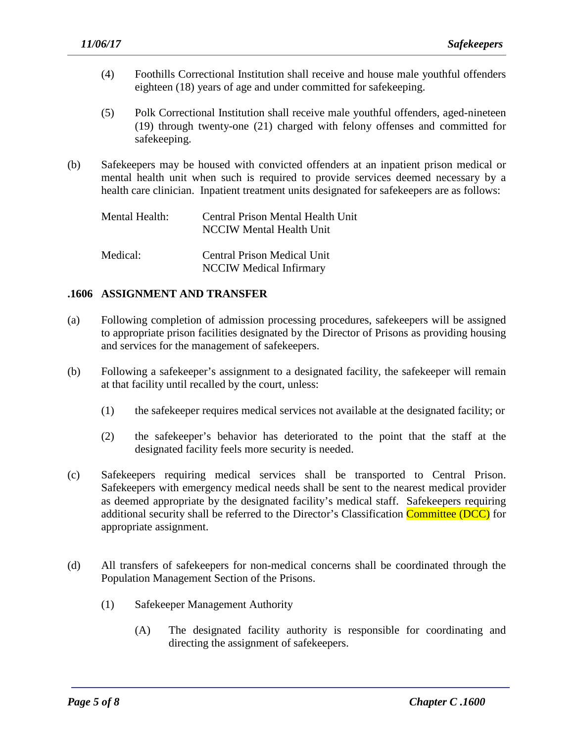- (4) Foothills Correctional Institution shall receive and house male youthful offenders eighteen (18) years of age and under committed for safekeeping.
- (5) Polk Correctional Institution shall receive male youthful offenders, aged-nineteen (19) through twenty-one (21) charged with felony offenses and committed for safekeeping.
- (b) Safekeepers may be housed with convicted offenders at an inpatient prison medical or mental health unit when such is required to provide services deemed necessary by a health care clinician. Inpatient treatment units designated for safekeepers are as follows:

| Mental Health: | Central Prison Mental Health Unit<br>NCCIW Mental Health Unit |
|----------------|---------------------------------------------------------------|
| Medical:       | Central Prison Medical Unit<br><b>NCCIW</b> Medical Infirmary |

## **.1606 ASSIGNMENT AND TRANSFER**

- (a) Following completion of admission processing procedures, safekeepers will be assigned to appropriate prison facilities designated by the Director of Prisons as providing housing and services for the management of safekeepers.
- (b) Following a safekeeper's assignment to a designated facility, the safekeeper will remain at that facility until recalled by the court, unless:
	- (1) the safekeeper requires medical services not available at the designated facility; or
	- (2) the safekeeper's behavior has deteriorated to the point that the staff at the designated facility feels more security is needed.
- (c) Safekeepers requiring medical services shall be transported to Central Prison. Safekeepers with emergency medical needs shall be sent to the nearest medical provider as deemed appropriate by the designated facility's medical staff. Safekeepers requiring additional security shall be referred to the Director's Classification **Committee (DCC)** for appropriate assignment.
- (d) All transfers of safekeepers for non-medical concerns shall be coordinated through the Population Management Section of the Prisons.

- (1) Safekeeper Management Authority
	- (A) The designated facility authority is responsible for coordinating and directing the assignment of safekeepers.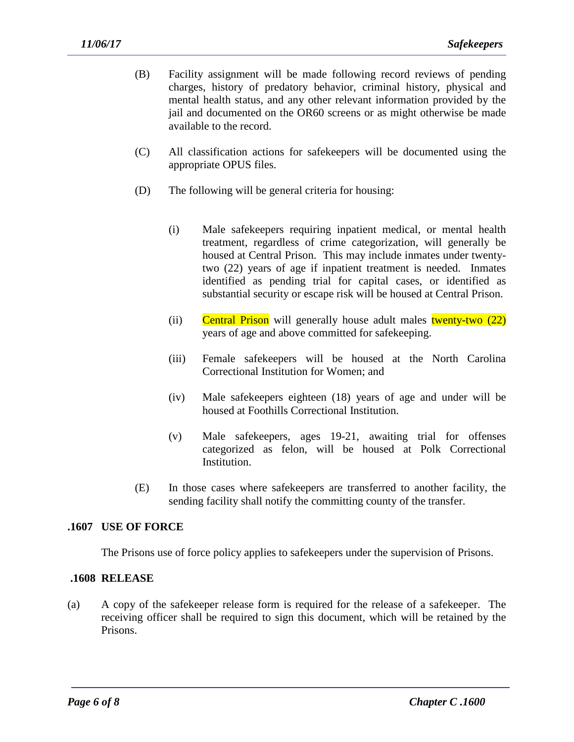- (B) Facility assignment will be made following record reviews of pending charges, history of predatory behavior, criminal history, physical and mental health status, and any other relevant information provided by the jail and documented on the OR60 screens or as might otherwise be made available to the record.
- (C) All classification actions for safekeepers will be documented using the appropriate OPUS files.
- (D) The following will be general criteria for housing:
	- (i) Male safekeepers requiring inpatient medical, or mental health treatment, regardless of crime categorization, will generally be housed at Central Prison. This may include inmates under twentytwo (22) years of age if inpatient treatment is needed. Inmates identified as pending trial for capital cases, or identified as substantial security or escape risk will be housed at Central Prison.
	- (ii) Central Prison will generally house adult males twenty-two  $(22)$ years of age and above committed for safekeeping.
	- (iii) Female safekeepers will be housed at the North Carolina Correctional Institution for Women; and
	- (iv) Male safekeepers eighteen (18) years of age and under will be housed at Foothills Correctional Institution.
	- (v) Male safekeepers, ages 19-21, awaiting trial for offenses categorized as felon, will be housed at Polk Correctional Institution.
- (E) In those cases where safekeepers are transferred to another facility, the sending facility shall notify the committing county of the transfer.

### **.1607 USE OF FORCE**

The Prisons use of force policy applies to safekeepers under the supervision of Prisons.

### **.1608 RELEASE**

(a) A copy of the safekeeper release form is required for the release of a safekeeper. The receiving officer shall be required to sign this document, which will be retained by the Prisons.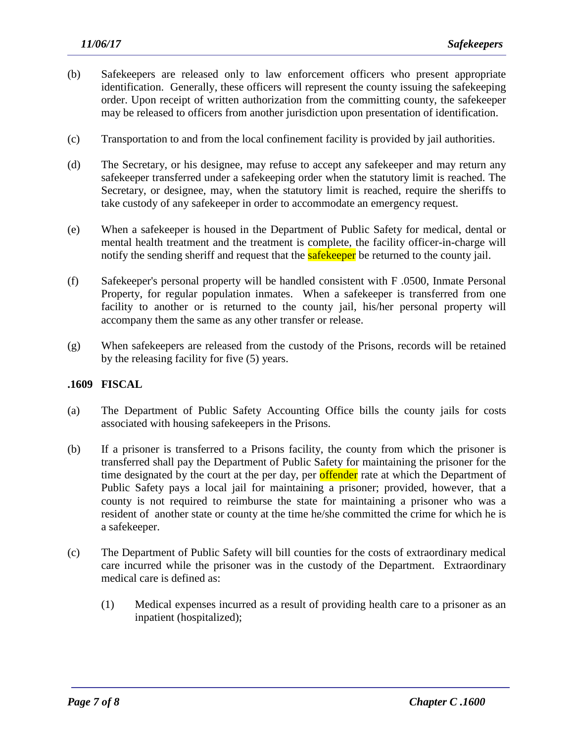- (b) Safekeepers are released only to law enforcement officers who present appropriate identification. Generally, these officers will represent the county issuing the safekeeping order. Upon receipt of written authorization from the committing county, the safekeeper may be released to officers from another jurisdiction upon presentation of identification.
- (c) Transportation to and from the local confinement facility is provided by jail authorities.
- (d) The Secretary, or his designee, may refuse to accept any safekeeper and may return any safekeeper transferred under a safekeeping order when the statutory limit is reached. The Secretary, or designee, may, when the statutory limit is reached, require the sheriffs to take custody of any safekeeper in order to accommodate an emergency request.
- (e) When a safekeeper is housed in the Department of Public Safety for medical, dental or mental health treatment and the treatment is complete, the facility officer-in-charge will notify the sending sheriff and request that the **safekeeper** be returned to the county jail.
- (f) Safekeeper's personal property will be handled consistent with F .0500, Inmate Personal Property, for regular population inmates. When a safekeeper is transferred from one facility to another or is returned to the county jail, his/her personal property will accompany them the same as any other transfer or release.
- (g) When safekeepers are released from the custody of the Prisons, records will be retained by the releasing facility for five (5) years.

### **.1609 FISCAL**

- (a) The Department of Public Safety Accounting Office bills the county jails for costs associated with housing safekeepers in the Prisons.
- (b) If a prisoner is transferred to a Prisons facility, the county from which the prisoner is transferred shall pay the Department of Public Safety for maintaining the prisoner for the time designated by the court at the per day, per **offender** rate at which the Department of Public Safety pays a local jail for maintaining a prisoner; provided, however, that a county is not required to reimburse the state for maintaining a prisoner who was a resident of another state or county at the time he/she committed the crime for which he is a safekeeper.
- (c) The Department of Public Safety will bill counties for the costs of extraordinary medical care incurred while the prisoner was in the custody of the Department. Extraordinary medical care is defined as:

(1) Medical expenses incurred as a result of providing health care to a prisoner as an inpatient (hospitalized);